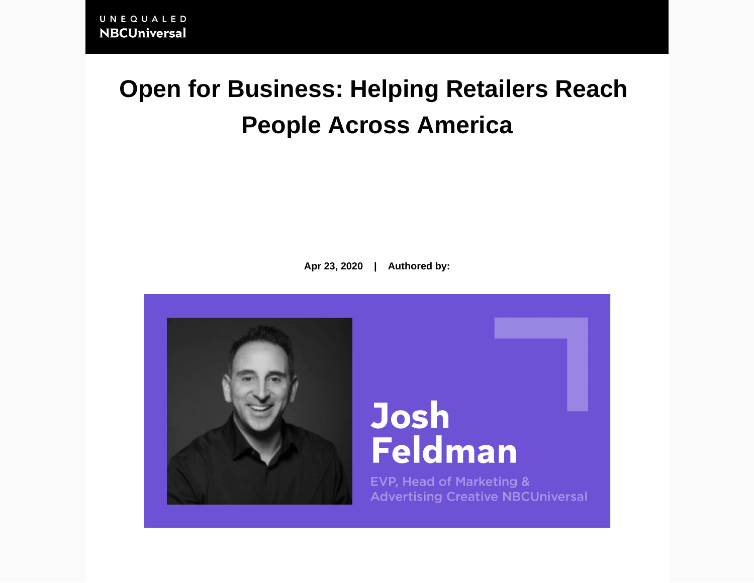## **Open for Business: Helping Retailers Reach People Across America**

**Apr 23, 2020 | Authored by:**



# **Josh Feldman**

**EVP, Head of Marketing & Advertising Creative NBCUniversal**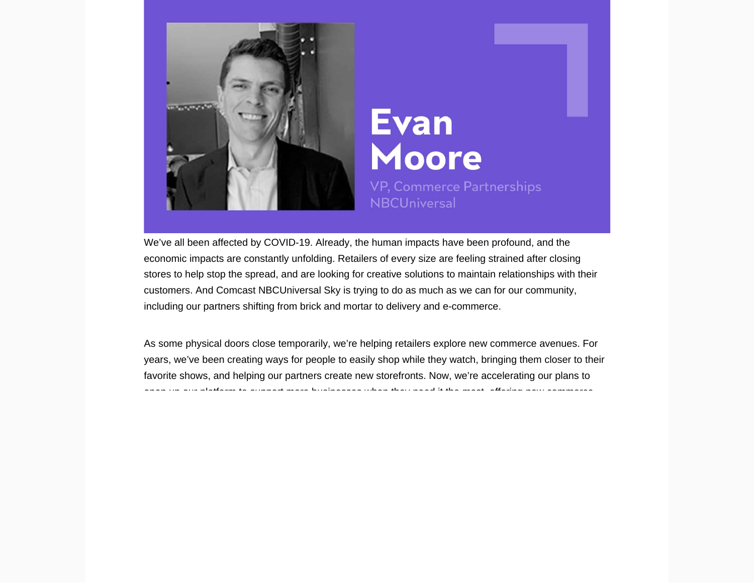We've all been affected by COVID-19. Already, the human impacts have been profound, and the economic impacts are constantly unfolding. Retailers of every size are feeling strained after closing stores to help stop the spread, and are looking for [creative solutions to](https://together.nbcuni.com/news/when-less-is-more/) maintain relationships with their customers. And Comcast NBCUniversal Sky is trying to do [as much as we can](https://together.nbcuni.com/news/when-less-is-more/) for our community, including our partners shifting from brick and mortar to delivery and e-commerce.

As some physical doors close temporarily, we're helping retailers explore new commerce avenues. For years, we've been creating ways for people to [easily shop](https://together.nbcuni.com/article/shoppabletv-launch/) while they watch, [bringing them closer to their](https://together.nbcuni.com/news/when-less-is-more/covid-landscape/)  [favorite shows](https://together.nbcuni.com/news/when-less-is-more/covid-landscape/), and helping our partners create new storefronts. Now, we're accelerating our plans to open up our platform to support more businesses when they need it the most, offering new commerce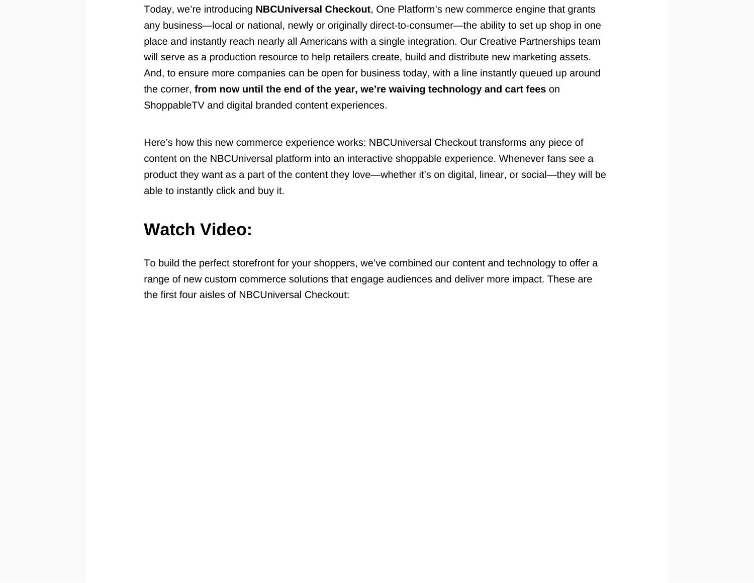Today, we're introducing NBCUniversal Checkout , One Platform's new commerce engine that grants any business—local or national, newly or originally direct-to-consumer—the ability to set up shop in one place and instantly reach nearly all Americans with a single integration. Our Creative Partnerships team will serve as a production resource to help retailers create, build and distribute new marketing assets. And, to ensure more companies can be open for business today, with a line instantly queued up around the corner, from now until the end of the year, we're [waiving technology](https://together.nbcuni.com/news/when-less-is-more/) and cart fees on ShoppableTV and digital branded content experiences.

Here's how this new commerce experience works: NBCUniversal Checkout transforms any piece of content on the NBCUniversal platform into an interactive shoppable experience. Whenever fans see a product they want as a part of the content they love—whether it's on digital, linear, or social—they will be able to instantly click and buy it.

## Watch Video:

To build the perfect storefront for your shoppers, we've combined our content and technology to offer a range of new custom commerce solutions that engage audiences and deliver more impact. These are the first four aisles of NBCUniversal Checkout: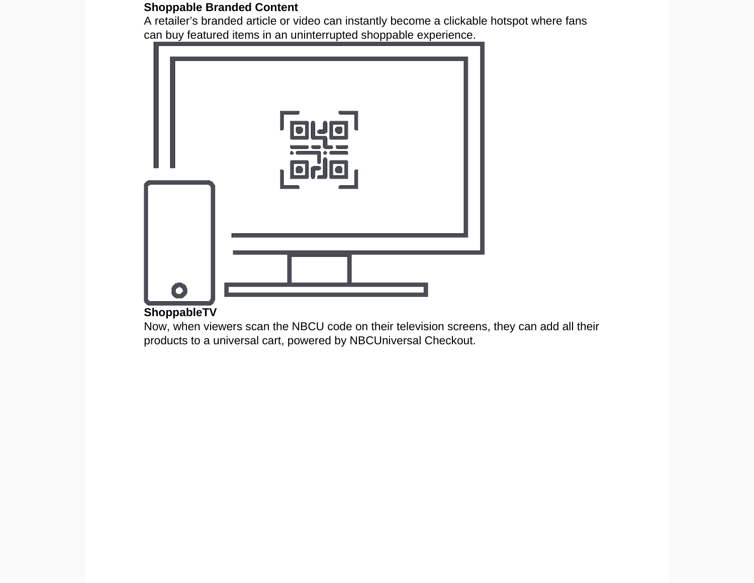Shoppable Branded Content

A retailer's branded article or video can instantly become a clickable hotspot where fans can buy featured items in an uninterrupted shoppable experience.

[ShoppableTV](https://together.nbcuni.com/advertising/ad-experience/content-and-commercial-innovation/shoppabletv/)

Now, when viewers scan the NBCU code on their television screens, they can add all their products to a universal cart, powered by NBCUniversal Checkout.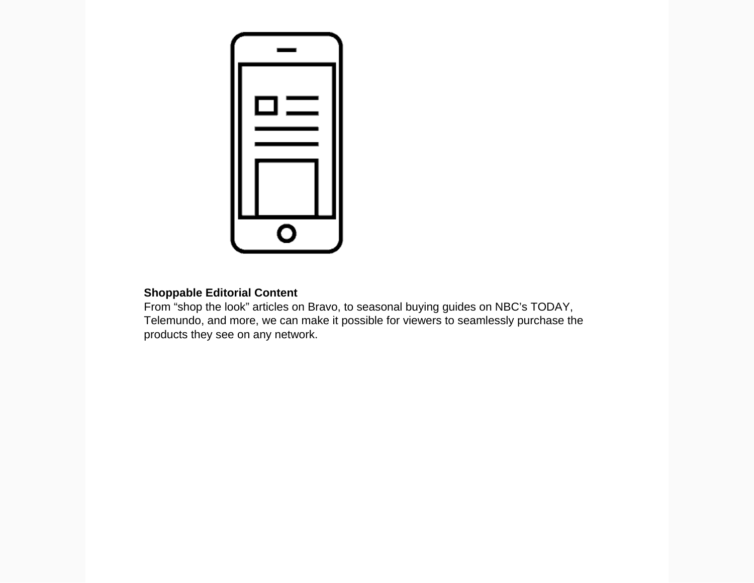

### **Shoppable Editorial Content**

From "shop the look" articles on Bravo, to seasonal buying guides on NBC's TODAY, Telemundo, and more, we can make it possible for viewers to seamlessly purchase the products they see on any network.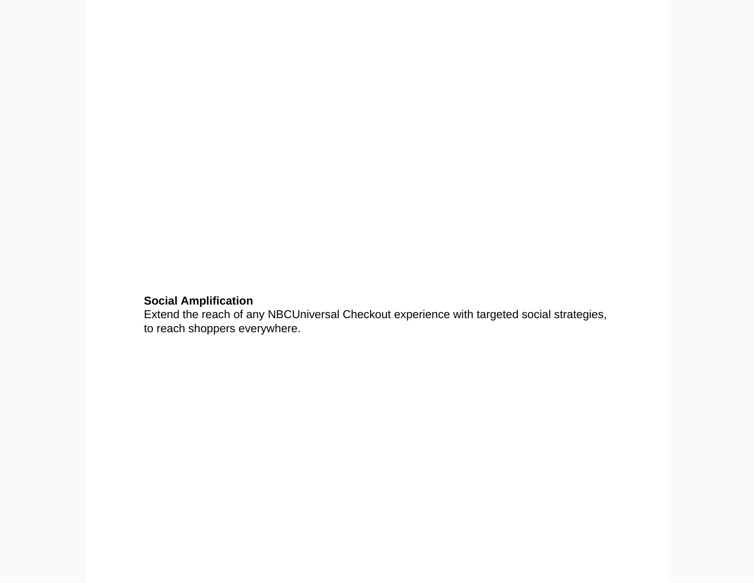### **Social Amplification**

Extend the reach of any NBCUniversal Checkout experience with targeted social strategies, to reach shoppers everywhere.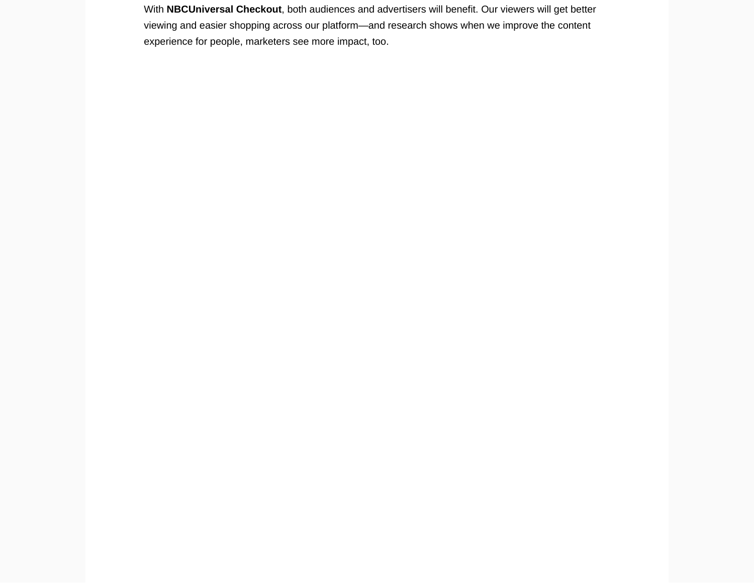With NBCUniversal Checkout , both audiences and advertisers will benefit. Our viewers will get better viewing and easier shopping across our platform—and research shows when we [improve the content](https://together.nbcuni.com/advertising/ad-experience/content-and-commercial-innovation/) [experience](https://together.nbcuni.com/advertising/ad-experience/content-and-commercial-innovation/) for people, marketers see more impact, too.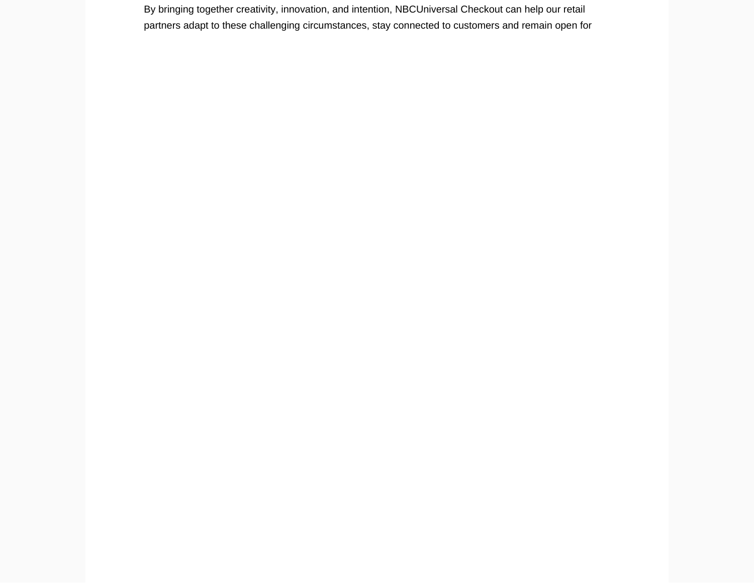By bringing together creativity, innovation, and intention, NBCUniversal Checkout can help our retail partners adapt to these challenging circumstances, stay connected to customers and remain open for